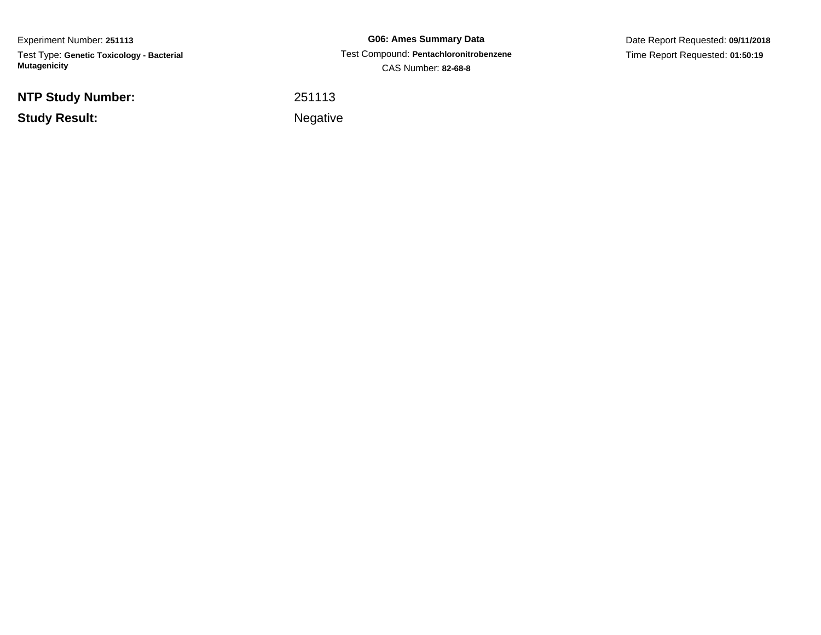Experiment Number: **251113**Test Type: **Genetic Toxicology - Bacterial Mutagenicity**

**NTP Study Number:**

**Study Result:**

**G06: Ames Summary Data** Test Compound: **Pentachloronitrobenzene**CAS Number: **82-68-8**

Date Report Requested: **09/11/2018**Time Report Requested: **01:50:19**

<sup>251113</sup>

Negative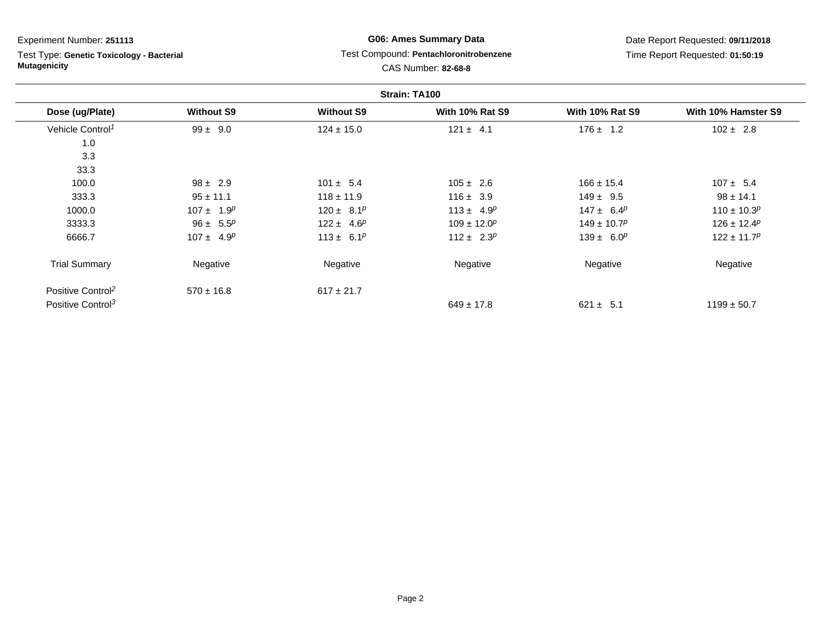Test Type: **Genetic Toxicology - Bacterial Mutagenicity**

# **G06: Ames Summary Data**Test Compound: **Pentachloronitrobenzene**

Date Report Requested: **09/11/2018**Time Report Requested: **01:50:19**

|                               |                   |                               | Strain: TA100                 |                             |                     |
|-------------------------------|-------------------|-------------------------------|-------------------------------|-----------------------------|---------------------|
| Dose (ug/Plate)               | <b>Without S9</b> | <b>Without S9</b>             | <b>With 10% Rat S9</b>        | <b>With 10% Rat S9</b>      | With 10% Hamster S9 |
| Vehicle Control <sup>1</sup>  | $99 \pm 9.0$      | $124 \pm 15.0$                | $121 \pm 4.1$                 | $176 \pm 1.2$               | $102 \pm 2.8$       |
| 1.0                           |                   |                               |                               |                             |                     |
| 3.3                           |                   |                               |                               |                             |                     |
| 33.3                          |                   |                               |                               |                             |                     |
| 100.0                         | $98 \pm 2.9$      | $101 \pm 5.4$                 | $105 \pm 2.6$                 | $166 \pm 15.4$              | $107 \pm 5.4$       |
| 333.3                         | $95 \pm 11.1$     | $118 \pm 11.9$                | $116 \pm 3.9$                 | $149 \pm 9.5$               | $98 \pm 14.1$       |
| 1000.0                        | $107 \pm 1.9^p$   | $120 \pm 8.1^p$               | $113 \pm 4.9^p$               | $147 \pm 6.4^p$             | $110 \pm 10.3^p$    |
| 3333.3                        | $96 \pm 5.5^p$    | $122 \pm 4.6^p$               | $109 \pm 12.0^p$              | $149 \pm 10.7$ <sup>p</sup> | $126 \pm 12.4^p$    |
| 6666.7                        | $107 \pm 4.9^p$   | 113 ± 6.1 <sup><i>p</i></sup> | 112 ± 2.3 <sup><i>p</i></sup> | $139 \pm 6.0^p$             | $122 \pm 11.7^p$    |
| <b>Trial Summary</b>          | Negative          | Negative                      | Negative                      | Negative                    | Negative            |
| Positive Control <sup>2</sup> | $570 \pm 16.8$    | $617 \pm 21.7$                |                               |                             |                     |
| Positive Control <sup>3</sup> |                   |                               | $649 \pm 17.8$                | $621 \pm 5.1$               | $1199 \pm 50.7$     |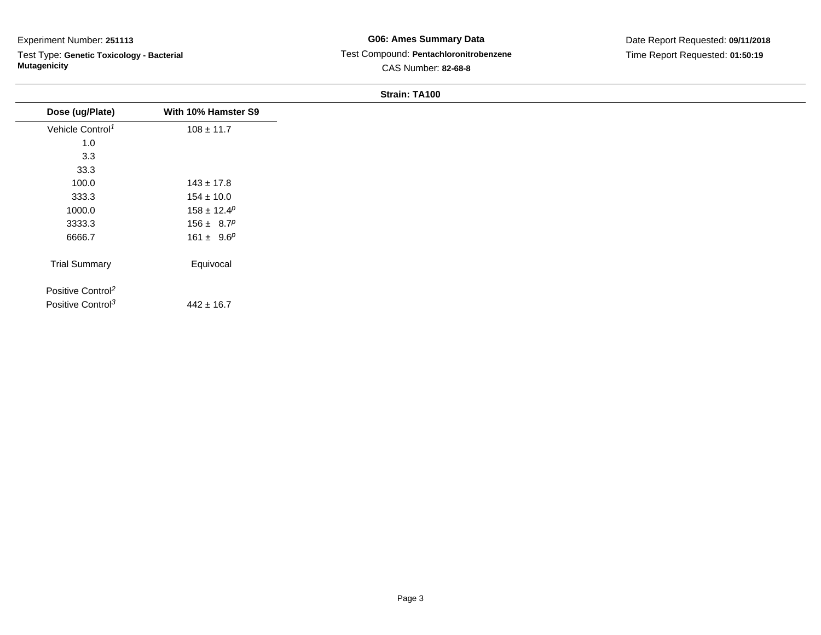Test Type: **Genetic Toxicology - Bacterial Mutagenicity**

## **G06: Ames Summary Data** Test Compound: **Pentachloronitrobenzene**CAS Number: **82-68-8**

| Dose (ug/Plate)               | With 10% Hamster S9 |
|-------------------------------|---------------------|
| Vehicle Control <sup>1</sup>  | $108 \pm 11.7$      |
| 1.0                           |                     |
| 3.3                           |                     |
| 33.3                          |                     |
| 100.0                         | $143 \pm 17.8$      |
| 333.3                         | $154 \pm 10.0$      |
| 1000.0                        | $158 \pm 12.4^p$    |
| 3333.3                        | $156 \pm 8.7^p$     |
| 6666.7                        | $161 \pm 9.6^p$     |
| <b>Trial Summary</b>          | Equivocal           |
| Positive Control <sup>2</sup> |                     |
| Positive Control <sup>3</sup> | $442 \pm 16.7$      |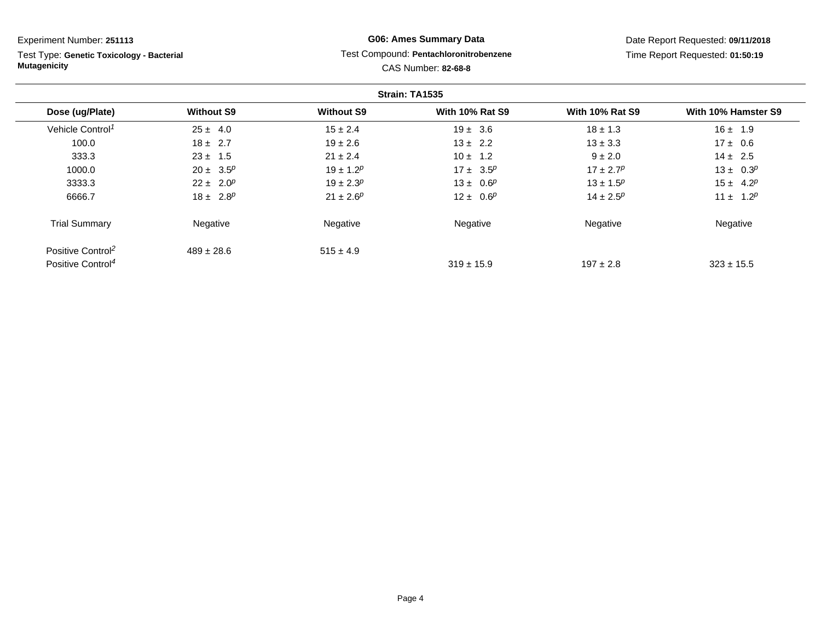| Experiment Number: 251113                                        |                   |                   | <b>G06: Ames Summary Data</b>                                 |                        | Date Report Requested: 09/11/2018 |
|------------------------------------------------------------------|-------------------|-------------------|---------------------------------------------------------------|------------------------|-----------------------------------|
| Test Type: Genetic Toxicology - Bacterial<br><b>Mutagenicity</b> |                   |                   | Test Compound: Pentachloronitrobenzene<br>CAS Number: 82-68-8 |                        | Time Report Requested: 01:50:19   |
|                                                                  |                   |                   | Strain: TA1535                                                |                        |                                   |
| Dose (ug/Plate)                                                  | <b>Without S9</b> | <b>Without S9</b> | <b>With 10% Rat S9</b>                                        | <b>With 10% Rat S9</b> | With 10% Hamster S9               |
| Vehicle Control <sup>1</sup>                                     | $25 \pm 4.0$      | $15 \pm 2.4$      | $19 \pm 3.6$                                                  | $18 \pm 1.3$           | $16 \pm 1.9$                      |
| 100.0                                                            | $18 \pm 2.7$      | $19 \pm 2.6$      | $13 \pm 2.2$                                                  | $13 \pm 3.3$           | $17 \pm 0.6$                      |
| 333.3                                                            | $23 \pm 1.5$      | $21 \pm 2.4$      | $10 \pm 1.2$                                                  | $9 \pm 2.0$            | $14 \pm 2.5$                      |
| 1000.0                                                           | $20 \pm 3.5^p$    | $19 \pm 1.2^p$    | $17 \pm 3.5^p$                                                | $17 \pm 2.7^p$         | $13 \pm 0.3^p$                    |
| 3333.3                                                           | $22 \pm 2.0^p$    | $19 \pm 2.3^p$    | $13 \pm 0.6^p$                                                | $13 \pm 1.5^p$         | $15 \pm 4.2^p$                    |
| 6666.7                                                           | $18 \pm 2.8^p$    | $21 \pm 2.6^p$    | $12 \pm 0.6^p$                                                | $14 \pm 2.5^p$         | $11 \pm 1.2^p$                    |
| <b>Trial Summary</b>                                             | Negative          | Negative          | Negative                                                      | Negative               | Negative                          |
| Positive Control <sup>2</sup>                                    | $489 \pm 28.6$    | $515 \pm 4.9$     |                                                               |                        |                                   |

 $319 \pm 15.9$ 

 $197 \pm 2.8$  323 ± 15.5

Positive Control<sup>4</sup>

Page 4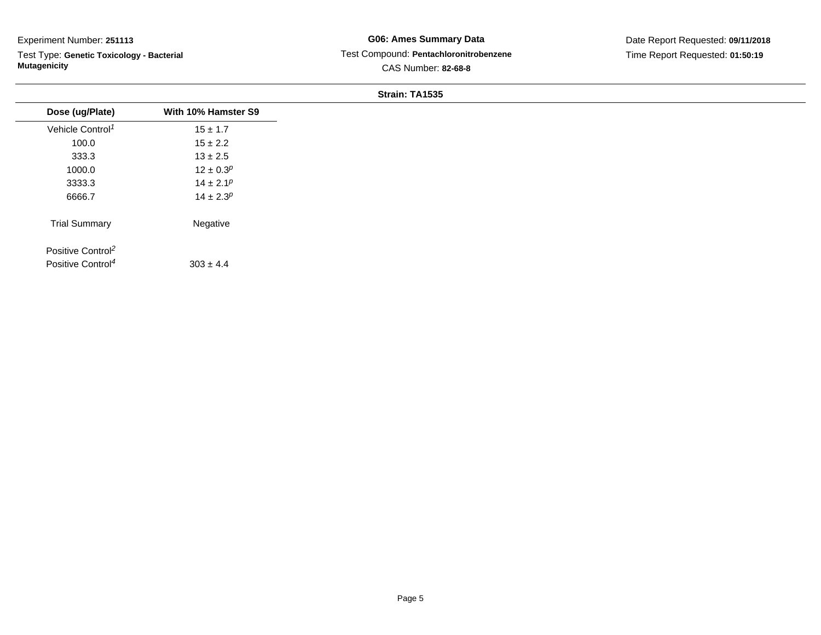Test Type: **Genetic Toxicology - Bacterial Mutagenicity**

## **G06: Ames Summary Data** Test Compound: **Pentachloronitrobenzene**CAS Number: **82-68-8**

Date Report Requested: **09/11/2018**Time Report Requested: **01:50:19**

|                                                                |                     | Strain: TA1535 |
|----------------------------------------------------------------|---------------------|----------------|
| Dose (ug/Plate)                                                | With 10% Hamster S9 |                |
| Vehicle Control <sup>1</sup>                                   | $15 \pm 1.7$        |                |
| 100.0                                                          | $15 \pm 2.2$        |                |
| 333.3                                                          | $13 \pm 2.5$        |                |
| 1000.0                                                         | $12 \pm 0.3^p$      |                |
| 3333.3                                                         | $14 \pm 2.1^p$      |                |
| 6666.7                                                         | $14 \pm 2.3^p$      |                |
| <b>Trial Summary</b>                                           | Negative            |                |
| Positive Control <sup>2</sup><br>Positive Control <sup>4</sup> | $303 \pm 4.4$       |                |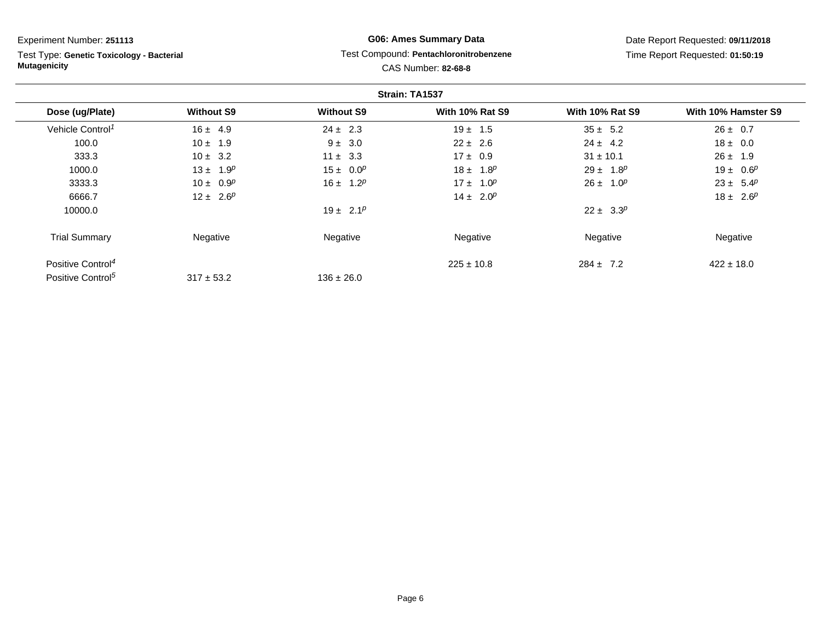Test Type: **Genetic Toxicology - Bacterial Mutagenicity**

## **G06: Ames Summary Data**Test Compound: **Pentachloronitrobenzene**

Date Report Requested: **09/11/2018**Time Report Requested: **01:50:19**

# CAS Number: **82-68-8**

|                               |                   |                   | Strain: TA1537         |                        |                     |
|-------------------------------|-------------------|-------------------|------------------------|------------------------|---------------------|
| Dose (ug/Plate)               | <b>Without S9</b> | <b>Without S9</b> | <b>With 10% Rat S9</b> | <b>With 10% Rat S9</b> | With 10% Hamster S9 |
| Vehicle Control <sup>1</sup>  | $16 \pm 4.9$      | $24 \pm 2.3$      | $19 \pm 1.5$           | $35 \pm 5.2$           | $26 \pm 0.7$        |
| 100.0                         | $10 \pm 1.9$      | $9 \pm 3.0$       | $22 \pm 2.6$           | $24 \pm 4.2$           | $18 \pm 0.0$        |
| 333.3                         | $10 \pm 3.2$      | $11 \pm 3.3$      | $17 \pm 0.9$           | $31 \pm 10.1$          | $26 \pm 1.9$        |
| 1000.0                        | $13 \pm 1.9^p$    | $15 \pm 0.0^p$    | $18 \pm 1.8^p$         | $29 \pm 1.8^p$         | $19 \pm 0.6^p$      |
| 3333.3                        | $10 \pm 0.9^p$    | $16 \pm 1.2^p$    | $17 \pm 1.0^p$         | $26 \pm 1.0^p$         | $23 \pm 5.4^p$      |
| 6666.7                        | $12 \pm 2.6^p$    |                   | $14 \pm 2.0^p$         |                        | $18 \pm 2.6^p$      |
| 10000.0                       |                   | $19 \pm 2.1^p$    |                        | $22 \pm 3.3^p$         |                     |
| <b>Trial Summary</b>          | Negative          | Negative          | Negative               | Negative               | Negative            |
| Positive Control <sup>4</sup> |                   |                   | $225 \pm 10.8$         | $284 \pm 7.2$          | $422 \pm 18.0$      |
| Positive Control <sup>5</sup> | $317 \pm 53.2$    | $136 \pm 26.0$    |                        |                        |                     |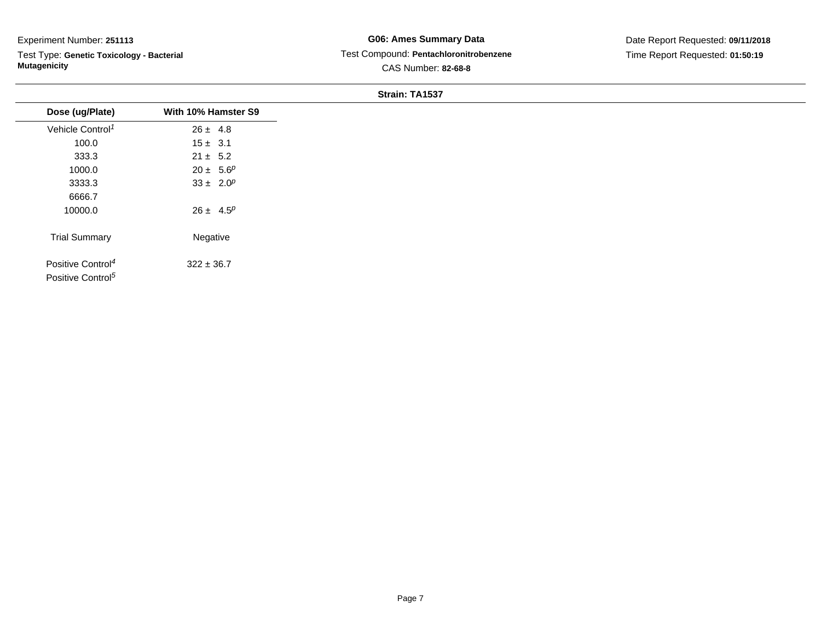Test Type: **Genetic Toxicology - Bacterial Mutagenicity**

## **G06: Ames Summary Data** Test Compound: **Pentachloronitrobenzene**CAS Number: **82-68-8**

Date Report Requested: **09/11/2018**Time Report Requested: **01:50:19**

|                                                                |                     | $\overline{S}$ train: TA1537 |
|----------------------------------------------------------------|---------------------|------------------------------|
| Dose (ug/Plate)                                                | With 10% Hamster S9 |                              |
| Vehicle Control <sup>1</sup>                                   | $26 \pm 4.8$        |                              |
| 100.0                                                          | $15 \pm 3.1$        |                              |
| 333.3                                                          | $21 \pm 5.2$        |                              |
| 1000.0                                                         | $20 \pm 5.6^p$      |                              |
| 3333.3                                                         | $33 \pm 2.0^p$      |                              |
| 6666.7                                                         |                     |                              |
| 10000.0                                                        | $26 \pm 4.5^p$      |                              |
| <b>Trial Summary</b>                                           | Negative            |                              |
| Positive Control <sup>4</sup><br>Positive Control <sup>5</sup> | $322 \pm 36.7$      |                              |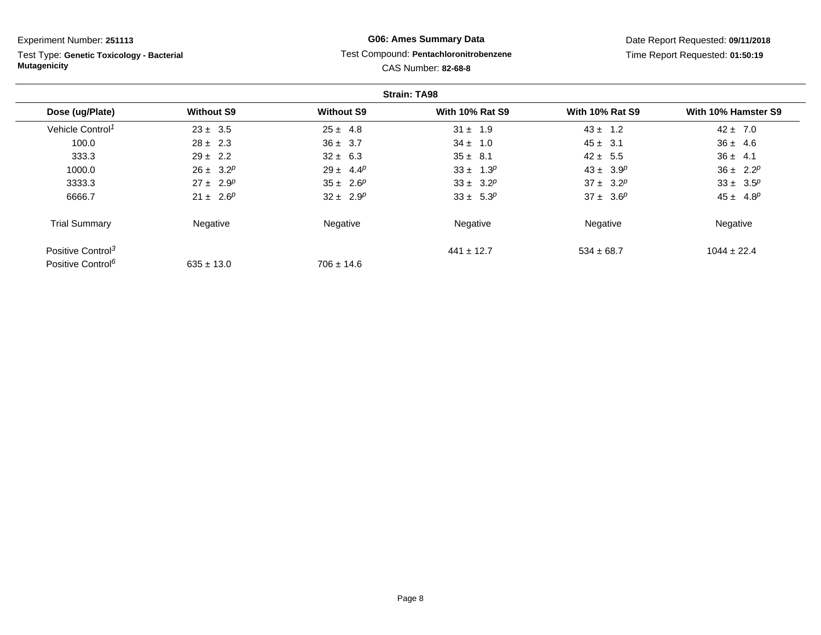Test Type: **Genetic Toxicology - Bacterial Mutagenicity**

# **G06: Ames Summary Data**Test Compound: **Pentachloronitrobenzene**

CAS Number: **82-68-8**

Date Report Requested: **09/11/2018**Time Report Requested: **01:50:19**

|                               |                   |                   | <b>Strain: TA98</b>    |                        |                     |
|-------------------------------|-------------------|-------------------|------------------------|------------------------|---------------------|
| Dose (ug/Plate)               | <b>Without S9</b> | <b>Without S9</b> | <b>With 10% Rat S9</b> | <b>With 10% Rat S9</b> | With 10% Hamster S9 |
| Vehicle Control <sup>1</sup>  | $23 \pm 3.5$      | $25 \pm 4.8$      | $31 \pm 1.9$           | $43 \pm 1.2$           | $42 \pm 7.0$        |
| 100.0                         | $28 \pm 2.3$      | $36 \pm 3.7$      | $34 \pm 1.0$           | $45 \pm 3.1$           | $36 \pm 4.6$        |
| 333.3                         | $29 \pm 2.2$      | $32 \pm 6.3$      | $35 \pm 8.1$           | $42 \pm 5.5$           | $36 \pm 4.1$        |
| 1000.0                        | $26 \pm 3.2^p$    | $29 \pm 4.4^p$    | $33 \pm 1.3^p$         | $43 \pm 3.9^p$         | $36 \pm 2.2^p$      |
| 3333.3                        | $27 \pm 2.9^p$    | $35 \pm 2.6^p$    | $33 \pm 3.2^p$         | $37 \pm 3.2^p$         | $33 \pm 3.5^p$      |
| 6666.7                        | $21 \pm 2.6^p$    | $32 \pm 2.9^p$    | $33 \pm 5.3^p$         | $37 \pm 3.6^p$         | $45 \pm 4.8^p$      |
| <b>Trial Summary</b>          | Negative          | Negative          | Negative               | Negative               | Negative            |
| Positive Control <sup>3</sup> |                   |                   | $441 \pm 12.7$         | $534 \pm 68.7$         | $1044 \pm 22.4$     |
| Positive Control <sup>6</sup> | $635 \pm 13.0$    | $706 \pm 14.6$    |                        |                        |                     |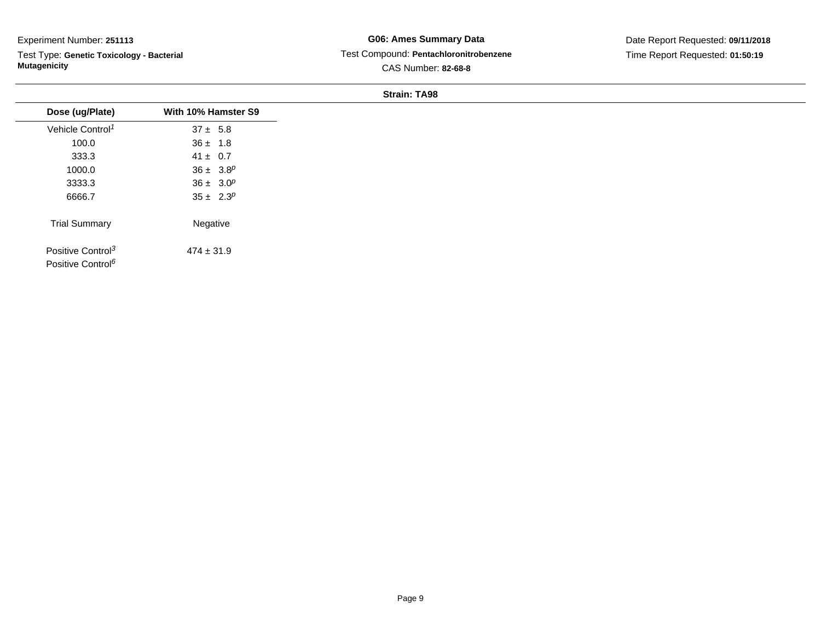Test Type: **Genetic Toxicology - Bacterial Mutagenicity**

## **G06: Ames Summary Data** Test Compound: **Pentachloronitrobenzene**CAS Number: **82-68-8**

Date Report Requested: **09/11/2018**Time Report Requested: **01:50:19**

| Dose (ug/Plate)               | With 10% Hamster S9 |
|-------------------------------|---------------------|
| Vehicle Control <sup>1</sup>  | $37 \pm 5.8$        |
| 100.0                         | $36 \pm 1.8$        |
| 333.3                         | $41 \pm 0.7$        |
| 1000.0                        | $36 \pm 3.8^p$      |
| 3333.3                        | $36 \pm 3.0^p$      |
| 6666.7                        | $35 \pm 2.3^p$      |
| <b>Trial Summary</b>          | Negative            |
| Positive Control <sup>3</sup> | $474 \pm 31.9$      |
| Positive Control <sup>6</sup> |                     |